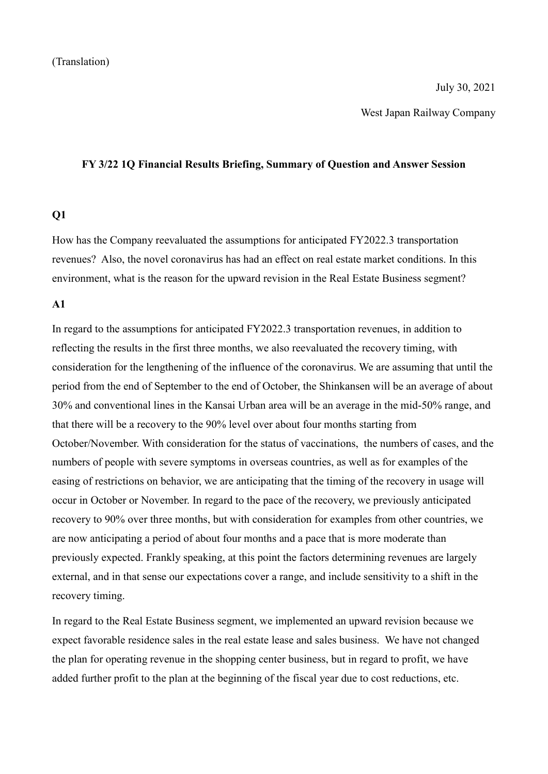West Japan Railway Company

#### **FY 3/22 1Q Financial Results Briefing, Summary of Question and Answer Session**

### **Q1**

How has the Company reevaluated the assumptions for anticipated FY2022.3 transportation revenues? Also, the novel coronavirus has had an effect on real estate market conditions. In this environment, what is the reason for the upward revision in the Real Estate Business segment?

### **A1**

In regard to the assumptions for anticipated FY2022.3 transportation revenues, in addition to reflecting the results in the first three months, we also reevaluated the recovery timing, with consideration for the lengthening of the influence of the coronavirus. We are assuming that until the period from the end of September to the end of October, the Shinkansen will be an average of about 30% and conventional lines in the Kansai Urban area will be an average in the mid-50% range, and that there will be a recovery to the 90% level over about four months starting from October/November. With consideration for the status of vaccinations, the numbers of cases, and the numbers of people with severe symptoms in overseas countries, as well as for examples of the easing of restrictions on behavior, we are anticipating that the timing of the recovery in usage will occur in October or November. In regard to the pace of the recovery, we previously anticipated recovery to 90% over three months, but with consideration for examples from other countries, we are now anticipating a period of about four months and a pace that is more moderate than previously expected. Frankly speaking, at this point the factors determining revenues are largely external, and in that sense our expectations cover a range, and include sensitivity to a shift in the recovery timing.

In regard to the Real Estate Business segment, we implemented an upward revision because we expect favorable residence sales in the real estate lease and sales business. We have not changed the plan for operating revenue in the shopping center business, but in regard to profit, we have added further profit to the plan at the beginning of the fiscal year due to cost reductions, etc.